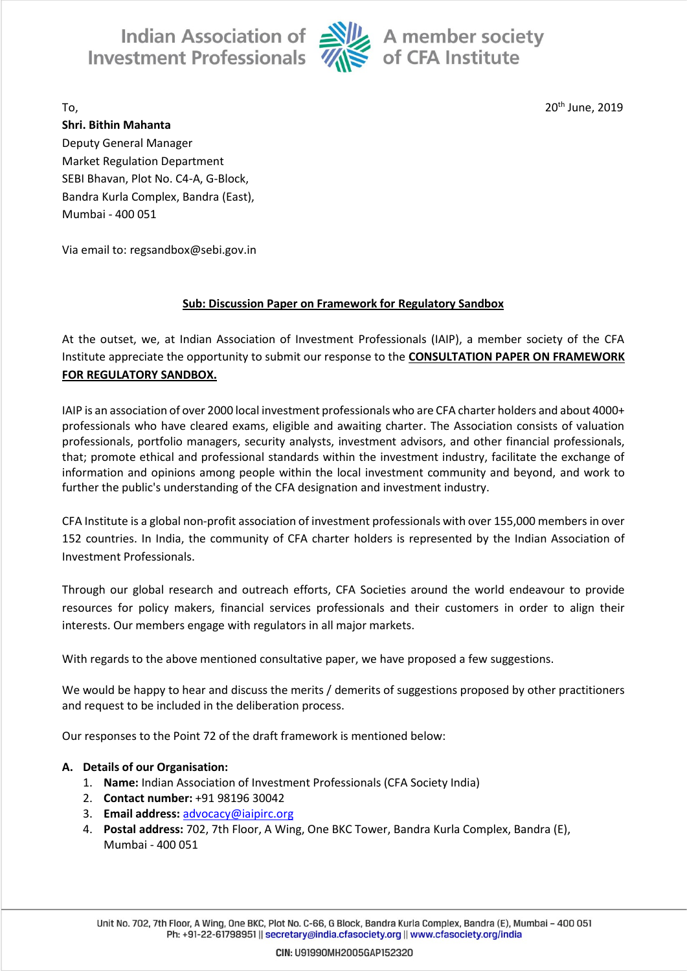Indian Association of Alle A member society<br>Investment Professionals  $\overline{\mathcal{U}}$  of CFA Institute



To, 20th June, 2019

**Shri. Bithin Mahanta** Deputy General Manager Market Regulation Department SEBI Bhavan, Plot No. C4-A, G-Block, Bandra Kurla Complex, Bandra (East), Mumbai - 400 051

Via email to: regsandbox@sebi.gov.in

# **Sub: Discussion Paper on Framework for Regulatory Sandbox**

At the outset, we, at Indian Association of Investment Professionals (IAIP), a member society of the CFA Institute appreciate the opportunity to submit our response to the **CONSULTATION PAPER ON FRAMEWORK FOR REGULATORY SANDBOX.**

IAIP is an association of over 2000 local investment professionals who are CFA charter holders and about 4000+ professionals who have cleared exams, eligible and awaiting charter. The Association consists of valuation professionals, portfolio managers, security analysts, investment advisors, and other financial professionals, that; promote ethical and professional standards within the investment industry, facilitate the exchange of information and opinions among people within the local investment community and beyond, and work to further the public's understanding of the CFA designation and investment industry.

CFA Institute is a global non-profit association of investment professionals with over 155,000 members in over 152 countries. In India, the community of CFA charter holders is represented by the Indian Association of Investment Professionals.

Through our global research and outreach efforts, CFA Societies around the world endeavour to provide resources for policy makers, financial services professionals and their customers in order to align their interests. Our members engage with regulators in all major markets.

With regards to the above mentioned consultative paper, we have proposed a few suggestions.

We would be happy to hear and discuss the merits / demerits of suggestions proposed by other practitioners and request to be included in the deliberation process.

Our responses to the Point 72 of the draft framework is mentioned below:

# **A. Details of our Organisation:**

- 1. **Name:** Indian Association of Investment Professionals (CFA Society India)
- 2. **Contact number:** +91 98196 30042
- 3. **Email address:** [advocacy@iaipirc.org](mailto:advocacy@iaipirc.org)
- 4. **Postal address:** 702, 7th Floor, A Wing, One BKC Tower, Bandra Kurla Complex, Bandra (E), Mumbai - 400 051

Unit No. 702, 7th Floor, A Wing, One BKC, Plot No. C-66, G Block, Bandra Kurla Complex, Bandra (E), Mumbai - 400 051 Ph: +91-22-61798951 || secretary@india.cfasociety.org || www.cfasociety.org/india

CIN: U91990MH2005GAP152320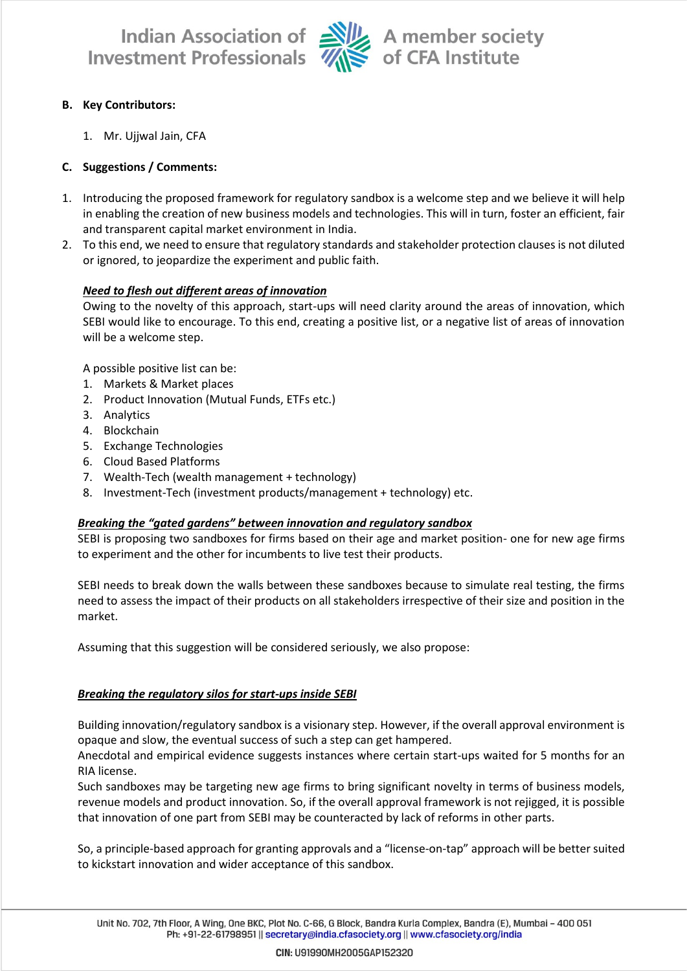

Indian Association of Alle A member society<br>Investment Professionals Alle of CFA Institute

# **B. Key Contributors:**

1. Mr. Ujjwal Jain, CFA

# **C. Suggestions / Comments:**

- 1. Introducing the proposed framework for regulatory sandbox is a welcome step and we believe it will help in enabling the creation of new business models and technologies. This will in turn, foster an efficient, fair and transparent capital market environment in India.
- 2. To this end, we need to ensure that regulatory standards and stakeholder protection clauses is not diluted or ignored, to jeopardize the experiment and public faith.

## *Need to flesh out different areas of innovation*

Owing to the novelty of this approach, start-ups will need clarity around the areas of innovation, which SEBI would like to encourage. To this end, creating a positive list, or a negative list of areas of innovation will be a welcome step.

A possible positive list can be:

- 1. Markets & Market places
- 2. Product Innovation (Mutual Funds, ETFs etc.)
- 3. Analytics
- 4. Blockchain
- 5. Exchange Technologies
- 6. Cloud Based Platforms
- 7. Wealth-Tech (wealth management + technology)
- 8. Investment-Tech (investment products/management + technology) etc.

#### *Breaking the "gated gardens" between innovation and regulatory sandbox*

SEBI is proposing two sandboxes for firms based on their age and market position- one for new age firms to experiment and the other for incumbents to live test their products.

SEBI needs to break down the walls between these sandboxes because to simulate real testing, the firms need to assess the impact of their products on all stakeholders irrespective of their size and position in the market.

Assuming that this suggestion will be considered seriously, we also propose:

#### *Breaking the regulatory silos for start-ups inside SEBI*

Building innovation/regulatory sandbox is a visionary step. However, if the overall approval environment is opaque and slow, the eventual success of such a step can get hampered.

Anecdotal and empirical evidence suggests instances where certain start-ups waited for 5 months for an RIA license.

Such sandboxes may be targeting new age firms to bring significant novelty in terms of business models, revenue models and product innovation. So, if the overall approval framework is not rejigged, it is possible that innovation of one part from SEBI may be counteracted by lack of reforms in other parts.

So, a principle-based approach for granting approvals and a "license-on-tap" approach will be better suited to kickstart innovation and wider acceptance of this sandbox.

CIN: U91990MH2005GAP152320